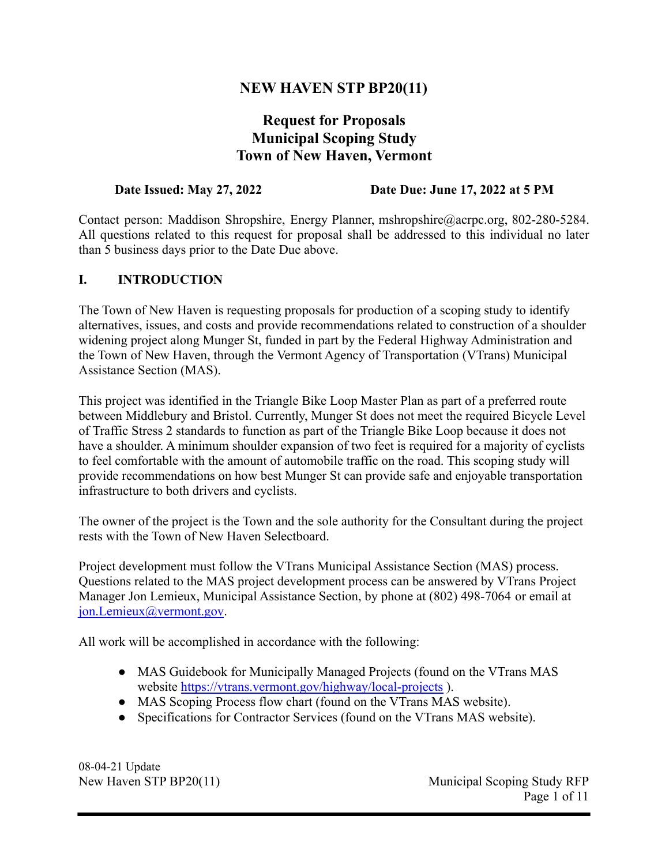## **NEW HAVEN STP BP20(11)**

# **Request for Proposals Municipal Scoping Study Town of New Haven, Vermont**

#### **Date Issued: May 27, 2022 Date Due: June 17, 2022 at 5 PM**

Contact person: Maddison Shropshire, Energy Planner, [mshropshire@acrpc.org,](mailto:mshropshire@acrpc.org) 802-280-5284. All questions related to this request for proposal shall be addressed to this individual no later than 5 business days prior to the Date Due above.

## **I. INTRODUCTION**

The Town of New Haven is requesting proposals for production of a scoping study to identify alternatives, issues, and costs and provide recommendations related to construction of a shoulder widening project along Munger St, funded in part by the Federal Highway Administration and the Town of New Haven, through the Vermont Agency of Transportation (VTrans) Municipal Assistance Section (MAS).

This project was identified in the Triangle Bike Loop Master Plan as part of a preferred route between Middlebury and Bristol. Currently, Munger St does not meet the required Bicycle Level of Traffic Stress 2 standards to function as part of the Triangle Bike Loop because it does not have a shoulder. A minimum shoulder expansion of two feet is required for a majority of cyclists to feel comfortable with the amount of automobile traffic on the road. This scoping study will provide recommendations on how best Munger St can provide safe and enjoyable transportation infrastructure to both drivers and cyclists.

The owner of the project is the Town and the sole authority for the Consultant during the project rests with the Town of New Haven Selectboard.

Project development must follow the VTrans Municipal Assistance Section (MAS) process. Questions related to the MAS project development process can be answered by VTrans Project Manager Jon Lemieux, Municipal Assistance Section, by phone at (802) 498-7064 or email at [jon.Lemieux@vermont.gov](mailto:Jon.Lemieux@vermont.gov).

All work will be accomplished in accordance with the following:

- MAS Guidebook for Municipally Managed Projects (found on the VTrans MAS website <https://vtrans.vermont.gov/highway/local-projects> ).
- MAS Scoping Process flow chart (found on the VTrans MAS website).
- Specifications for Contractor Services (found on the VTrans MAS website).

08-04-21 Update

New Haven STP BP20(11) Municipal Scoping Study RFP Page 1 of 11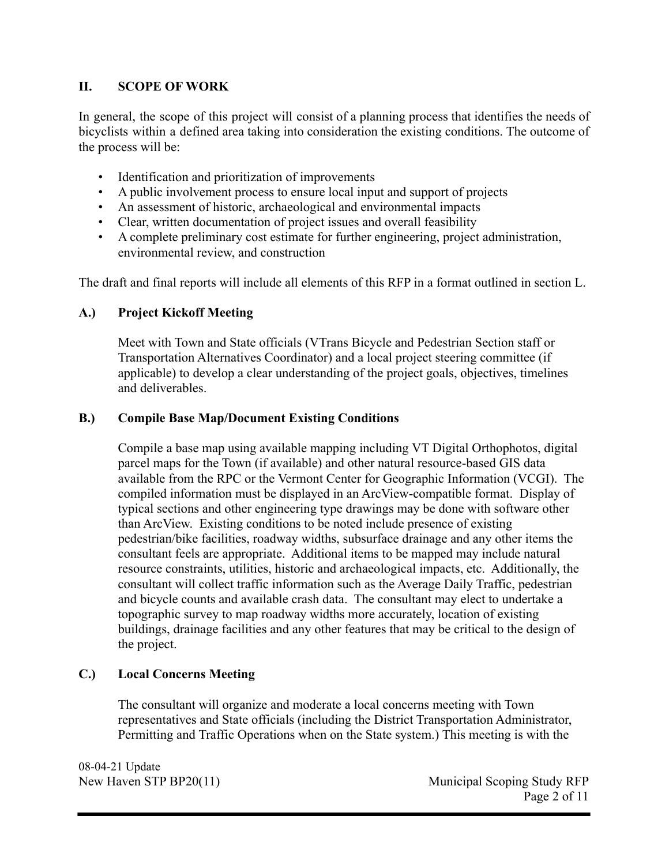## **II. SCOPE OF WORK**

In general, the scope of this project will consist of a planning process that identifies the needs of bicyclists within a defined area taking into consideration the existing conditions. The outcome of the process will be:

- Identification and prioritization of improvements
- A public involvement process to ensure local input and support of projects
- An assessment of historic, archaeological and environmental impacts
- Clear, written documentation of project issues and overall feasibility
- A complete preliminary cost estimate for further engineering, project administration, environmental review, and construction

The draft and final reports will include all elements of this RFP in a format outlined in section L.

## **A.) Project Kickoff Meeting**

Meet with Town and State officials (VTrans Bicycle and Pedestrian Section staff or Transportation Alternatives Coordinator) and a local project steering committee (if applicable) to develop a clear understanding of the project goals, objectives, timelines and deliverables.

## **B.) Compile Base Map/Document Existing Conditions**

Compile a base map using available mapping including VT Digital Orthophotos, digital parcel maps for the Town (if available) and other natural resource-based GIS data available from the RPC or the Vermont Center for Geographic Information (VCGI). The compiled information must be displayed in an ArcView-compatible format. Display of typical sections and other engineering type drawings may be done with software other than ArcView. Existing conditions to be noted include presence of existing pedestrian/bike facilities, roadway widths, subsurface drainage and any other items the consultant feels are appropriate. Additional items to be mapped may include natural resource constraints, utilities, historic and archaeological impacts, etc. Additionally, the consultant will collect traffic information such as the Average Daily Traffic, pedestrian and bicycle counts and available crash data. The consultant may elect to undertake a topographic survey to map roadway widths more accurately, location of existing buildings, drainage facilities and any other features that may be critical to the design of the project.

## **C.) Local Concerns Meeting**

The consultant will organize and moderate a local concerns meeting with Town representatives and State officials (including the District Transportation Administrator, Permitting and Traffic Operations when on the State system.) This meeting is with the

08-04-21 Update

New Haven STP BP20(11) Municipal Scoping Study RFP Page 2 of 11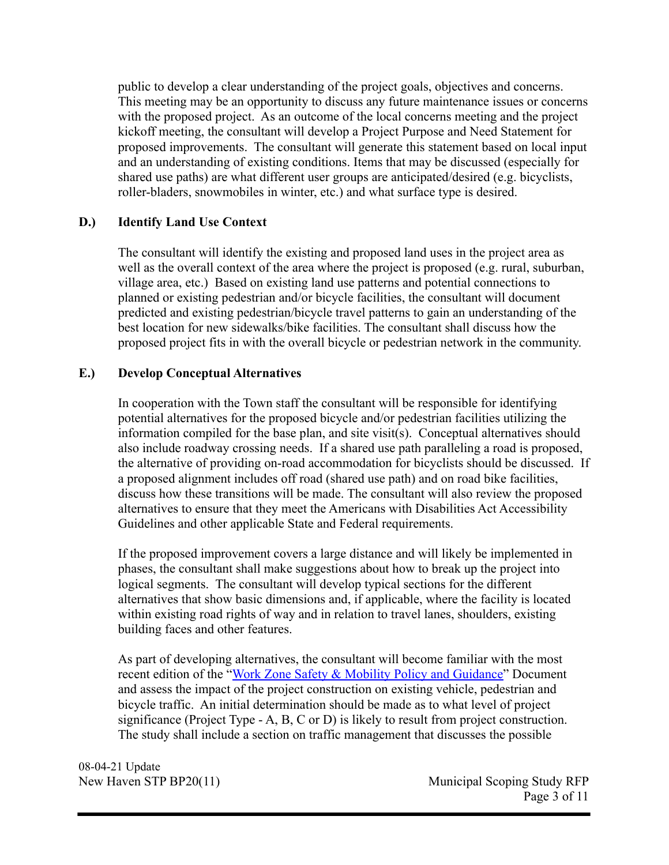public to develop a clear understanding of the project goals, objectives and concerns. This meeting may be an opportunity to discuss any future maintenance issues or concerns with the proposed project. As an outcome of the local concerns meeting and the project kickoff meeting, the consultant will develop a Project Purpose and Need Statement for proposed improvements. The consultant will generate this statement based on local input and an understanding of existing conditions. Items that may be discussed (especially for shared use paths) are what different user groups are anticipated/desired (e.g. bicyclists, roller-bladers, snowmobiles in winter, etc.) and what surface type is desired.

## **D.) Identify Land Use Context**

The consultant will identify the existing and proposed land uses in the project area as well as the overall context of the area where the project is proposed (e.g. rural, suburban, village area, etc.) Based on existing land use patterns and potential connections to planned or existing pedestrian and/or bicycle facilities, the consultant will document predicted and existing pedestrian/bicycle travel patterns to gain an understanding of the best location for new sidewalks/bike facilities. The consultant shall discuss how the proposed project fits in with the overall bicycle or pedestrian network in the community.

## **E.) Develop Conceptual Alternatives**

In cooperation with the Town staff the consultant will be responsible for identifying potential alternatives for the proposed bicycle and/or pedestrian facilities utilizing the information compiled for the base plan, and site visit(s). Conceptual alternatives should also include roadway crossing needs. If a shared use path paralleling a road is proposed, the alternative of providing on-road accommodation for bicyclists should be discussed. If a proposed alignment includes off road (shared use path) and on road bike facilities, discuss how these transitions will be made. The consultant will also review the proposed alternatives to ensure that they meet the Americans with Disabilities Act Accessibility Guidelines and other applicable State and Federal requirements.

If the proposed improvement covers a large distance and will likely be implemented in phases, the consultant shall make suggestions about how to break up the project into logical segments. The consultant will develop typical sections for the different alternatives that show basic dimensions and, if applicable, where the facility is located within existing road rights of way and in relation to travel lanes, shoulders, existing building faces and other features.

As part of developing alternatives, the consultant will become familiar with the most recent edition of the "[Work Zone Safety & Mobility](https://vtrans.vermont.gov/sites/aot/files/highway/documents/workzone/Work%2520Zone%2520Safety%2520and%2520Mobility%2520Policy%2520and%2520Guidance.pdf) Policy and Guidance" Document and assess the impact of the project construction on existing vehicle, pedestrian and bicycle traffic. An initial determination should be made as to what level of project significance (Project Type - A, B, C or D) is likely to result from project construction. The study shall include a section on traffic management that discusses the possible

08-04-21 Update

New Haven STP BP20(11) Municipal Scoping Study RFP Page 3 of 11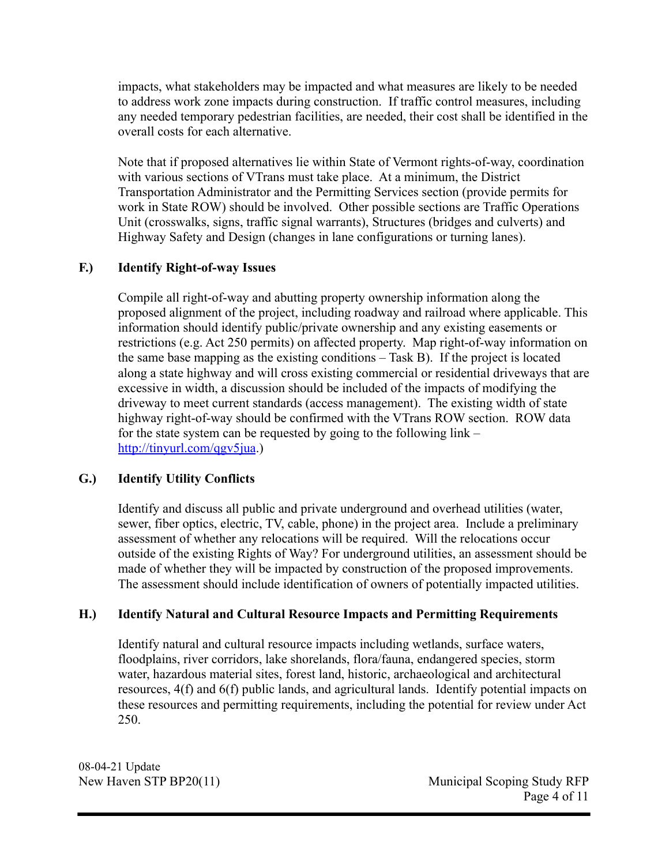impacts, what stakeholders may be impacted and what measures are likely to be needed to address work zone impacts during construction. If traffic control measures, including any needed temporary pedestrian facilities, are needed, their cost shall be identified in the overall costs for each alternative.

Note that if proposed alternatives lie within State of Vermont rights-of-way, coordination with various sections of VTrans must take place. At a minimum, the District Transportation Administrator and the Permitting Services section (provide permits for work in State ROW) should be involved. Other possible sections are Traffic Operations Unit (crosswalks, signs, traffic signal warrants), Structures (bridges and culverts) and Highway Safety and Design (changes in lane configurations or turning lanes).

## **F.) Identify Right-of-way Issues**

Compile all right-of-way and abutting property ownership information along the proposed alignment of the project, including roadway and railroad where applicable. This information should identify public/private ownership and any existing easements or restrictions (e.g. Act 250 permits) on affected property. Map right-of-way information on the same base mapping as the existing conditions – Task B). If the project is located along a state highway and will cross existing commercial or residential driveways that are excessive in width, a discussion should be included of the impacts of modifying the driveway to meet current standards (access management). The existing width of state highway right-of-way should be confirmed with the VTrans ROW section. ROW data for the state system can be requested by going to the following link – <http://tinyurl.com/qgv5jua>.)

## **G.) Identify Utility Conflicts**

Identify and discuss all public and private underground and overhead utilities (water, sewer, fiber optics, electric, TV, cable, phone) in the project area. Include a preliminary assessment of whether any relocations will be required. Will the relocations occur outside of the existing Rights of Way? For underground utilities, an assessment should be made of whether they will be impacted by construction of the proposed improvements. The assessment should include identification of owners of potentially impacted utilities.

## **H.) Identify Natural and Cultural Resource Impacts and Permitting Requirements**

Identify natural and cultural resource impacts including wetlands, surface waters, floodplains, river corridors, lake shorelands, flora/fauna, endangered species, storm water, hazardous material sites, forest land, historic, archaeological and architectural resources, 4(f) and 6(f) public lands, and agricultural lands. Identify potential impacts on these resources and permitting requirements, including the potential for review under Act 250.

08-04-21 Update

New Haven STP BP20(11) Municipal Scoping Study RFP Page 4 of 11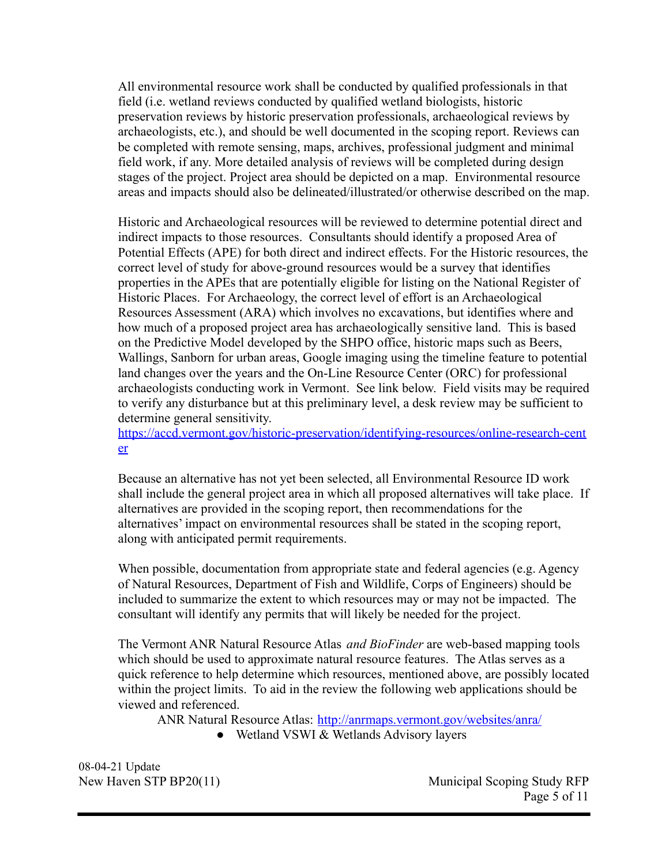All environmental resource work shall be conducted by qualified professionals in that field (i.e. wetland reviews conducted by qualified wetland biologists, historic preservation reviews by historic preservation professionals, archaeological reviews by archaeologists, etc.), and should be well documented in the scoping report. Reviews can be completed with remote sensing, maps, archives, professional judgment and minimal field work, if any. More detailed analysis of reviews will be completed during design stages of the project. Project area should be depicted on a map. Environmental resource areas and impacts should also be delineated/illustrated/or otherwise described on the map.

Historic and Archaeological resources will be reviewed to determine potential direct and indirect impacts to those resources. Consultants should identify a proposed Area of Potential Effects (APE) for both direct and indirect effects. For the Historic resources, the correct level of study for above-ground resources would be a survey that identifies properties in the APEs that are potentially eligible for listing on the National Register of Historic Places. For Archaeology, the correct level of effort is an Archaeological Resources Assessment (ARA) which involves no excavations, but identifies where and how much of a proposed project area has archaeologically sensitive land. This is based on the Predictive Model developed by the SHPO office, historic maps such as Beers, Wallings, Sanborn for urban areas, Google imaging using the timeline feature to potential land changes over the years and the On-Line Resource Center (ORC) for professional archaeologists conducting work in Vermont. See link below. Field visits may be required to verify any disturbance but at this preliminary level, a desk review may be sufficient to determine general sensitivity.

[https://accd.vermont.gov/historic-preservation/identifying-resources/online-research-cent](https://accd.vermont.gov/historic-preservation/identifying-resources/online-research-center) [er](https://accd.vermont.gov/historic-preservation/identifying-resources/online-research-center)

Because an alternative has not yet been selected, all Environmental Resource ID work shall include the general project area in which all proposed alternatives will take place. If alternatives are provided in the scoping report, then recommendations for the alternatives' impact on environmental resources shall be stated in the scoping report, along with anticipated permit requirements.

When possible, documentation from appropriate state and federal agencies (e.g. Agency of Natural Resources, Department of Fish and Wildlife, Corps of Engineers) should be included to summarize the extent to which resources may or may not be impacted. The consultant will identify any permits that will likely be needed for the project.

The Vermont ANR Natural Resource Atlas *and BioFinder* are web-based mapping tools which should be used to approximate natural resource features. The Atlas serves as a quick reference to help determine which resources, mentioned above, are possibly located within the project limits. To aid in the review the following web applications should be viewed and referenced.

ANR Natural Resource Atlas: <http://anrmaps.vermont.gov/websites/anra/>

● Wetland VSWI & Wetlands Advisory layers

08-04-21 Update

New Haven STP BP20(11) Municipal Scoping Study RFP Page 5 of 11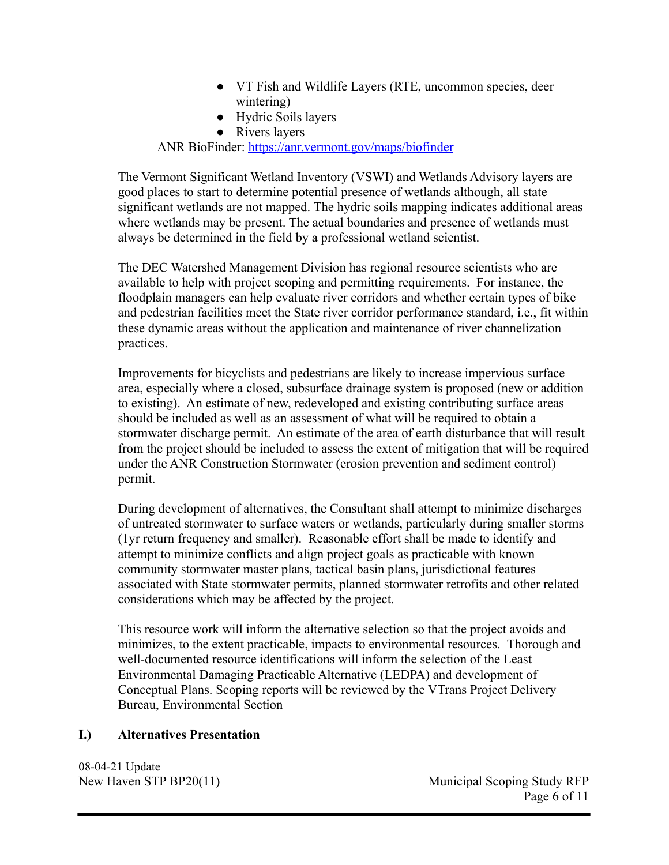- VT Fish and Wildlife Layers (RTE, uncommon species, deer wintering)
- Hydric Soils layers
- Rivers layers

ANR BioFinder: <https://anr.vermont.gov/maps/biofinder>

The Vermont Significant Wetland Inventory (VSWI) and Wetlands Advisory layers are good places to start to determine potential presence of wetlands although, all state significant wetlands are not mapped. The hydric soils mapping indicates additional areas where wetlands may be present. The actual boundaries and presence of wetlands must always be determined in the field by a professional wetland scientist.

The DEC Watershed Management Division has regional resource scientists who are available to help with project scoping and permitting requirements. For instance, the floodplain managers can help evaluate river corridors and whether certain types of bike and pedestrian facilities meet the State river corridor performance standard, i.e., fit within these dynamic areas without the application and maintenance of river channelization practices.

Improvements for bicyclists and pedestrians are likely to increase impervious surface area, especially where a closed, subsurface drainage system is proposed (new or addition to existing). An estimate of new, redeveloped and existing contributing surface areas should be included as well as an assessment of what will be required to obtain a stormwater discharge permit. An estimate of the area of earth disturbance that will result from the project should be included to assess the extent of mitigation that will be required under the ANR Construction Stormwater (erosion prevention and sediment control) permit.

During development of alternatives, the Consultant shall attempt to minimize discharges of untreated stormwater to surface waters or wetlands, particularly during smaller storms (1yr return frequency and smaller). Reasonable effort shall be made to identify and attempt to minimize conflicts and align project goals as practicable with known community stormwater master plans, tactical basin plans, jurisdictional features associated with State stormwater permits, planned stormwater retrofits and other related considerations which may be affected by the project.

This resource work will inform the alternative selection so that the project avoids and minimizes, to the extent practicable, impacts to environmental resources. Thorough and well-documented resource identifications will inform the selection of the Least Environmental Damaging Practicable Alternative (LEDPA) and development of Conceptual Plans. Scoping reports will be reviewed by the VTrans Project Delivery Bureau, Environmental Section

## **I.) Alternatives Presentation**

08-04-21 Update

New Haven STP BP20(11) Municipal Scoping Study RFP Page 6 of 11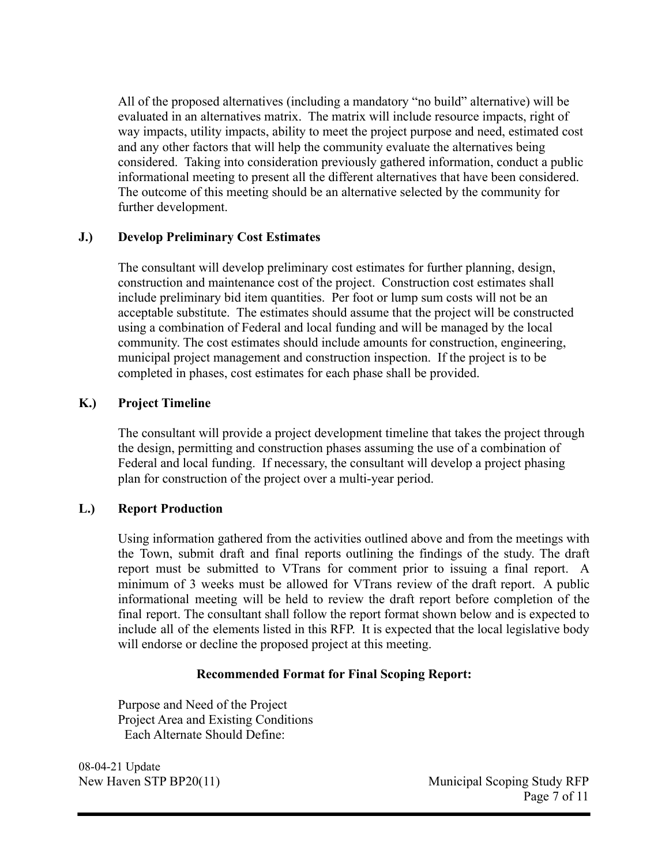All of the proposed alternatives (including a mandatory "no build" alternative) will be evaluated in an alternatives matrix. The matrix will include resource impacts, right of way impacts, utility impacts, ability to meet the project purpose and need, estimated cost and any other factors that will help the community evaluate the alternatives being considered. Taking into consideration previously gathered information, conduct a public informational meeting to present all the different alternatives that have been considered. The outcome of this meeting should be an alternative selected by the community for further development.

## **J.) Develop Preliminary Cost Estimates**

The consultant will develop preliminary cost estimates for further planning, design, construction and maintenance cost of the project. Construction cost estimates shall include preliminary bid item quantities. Per foot or lump sum costs will not be an acceptable substitute. The estimates should assume that the project will be constructed using a combination of Federal and local funding and will be managed by the local community. The cost estimates should include amounts for construction, engineering, municipal project management and construction inspection. If the project is to be completed in phases, cost estimates for each phase shall be provided.

#### **K.) Project Timeline**

The consultant will provide a project development timeline that takes the project through the design, permitting and construction phases assuming the use of a combination of Federal and local funding. If necessary, the consultant will develop a project phasing plan for construction of the project over a multi-year period.

## **L.) Report Production**

Using information gathered from the activities outlined above and from the meetings with the Town, submit draft and final reports outlining the findings of the study. The draft report must be submitted to VTrans for comment prior to issuing a final report. A minimum of 3 weeks must be allowed for VTrans review of the draft report. A public informational meeting will be held to review the draft report before completion of the final report. The consultant shall follow the report format shown below and is expected to include all of the elements listed in this RFP. It is expected that the local legislative body will endorse or decline the proposed project at this meeting.

#### **Recommended Format for Final Scoping Report:**

Purpose and Need of the Project Project Area and Existing Conditions Each Alternate Should Define:

08-04-21 Update

New Haven STP BP20(11) Municipal Scoping Study RFP Page 7 of 11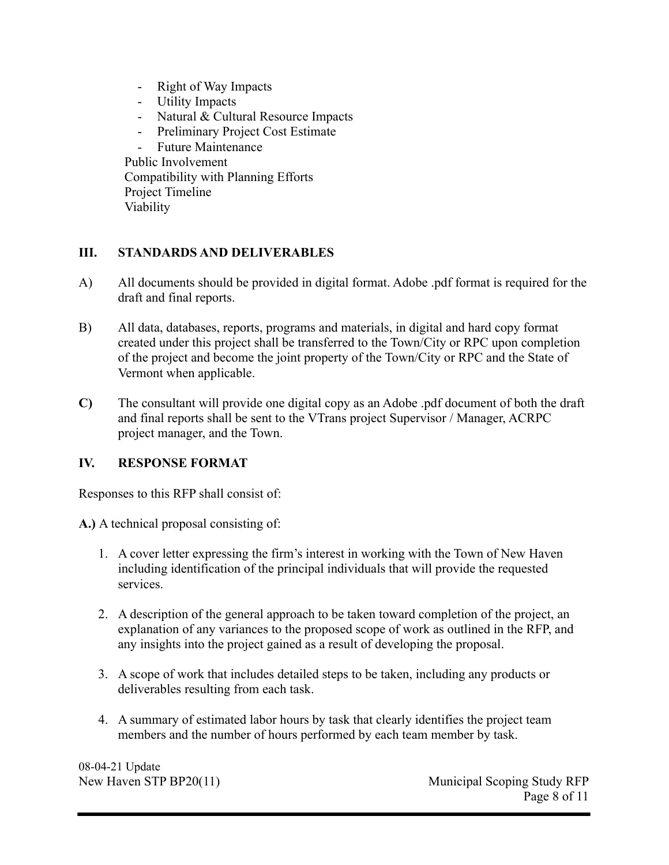- Right of Way Impacts
- Utility Impacts
- Natural & Cultural Resource Impacts
- Preliminary Project Cost Estimate

- Future Maintenance Public Involvement Compatibility with Planning Efforts Project Timeline Viability

## **III. STANDARDS AND DELIVERABLES**

- A) All documents should be provided in digital format. Adobe .pdf format is required for the draft and final reports.
- B) All data, databases, reports, programs and materials, in digital and hard copy format created under this project shall be transferred to the Town/City or RPC upon completion of the project and become the joint property of the Town/City or RPC and the State of Vermont when applicable.
- **C)** The consultant will provide one digital copy as an Adobe .pdf document of both the draft and final reports shall be sent to the VTrans project Supervisor / Manager, ACRPC project manager, and the Town.

## **IV. RESPONSE FORMAT**

Responses to this RFP shall consist of:

- **A.)** A technical proposal consisting of:
	- 1. A cover letter expressing the firm's interest in working with the Town of New Haven including identification of the principal individuals that will provide the requested services.
	- 2. A description of the general approach to be taken toward completion of the project, an explanation of any variances to the proposed scope of work as outlined in the RFP, and any insights into the project gained as a result of developing the proposal.
	- 3. A scope of work that includes detailed steps to be taken, including any products or deliverables resulting from each task.
	- 4. A summary of estimated labor hours by task that clearly identifies the project team members and the number of hours performed by each team member by task.

08-04-21 Update

New Haven STP BP20(11) Municipal Scoping Study RFP Page 8 of 11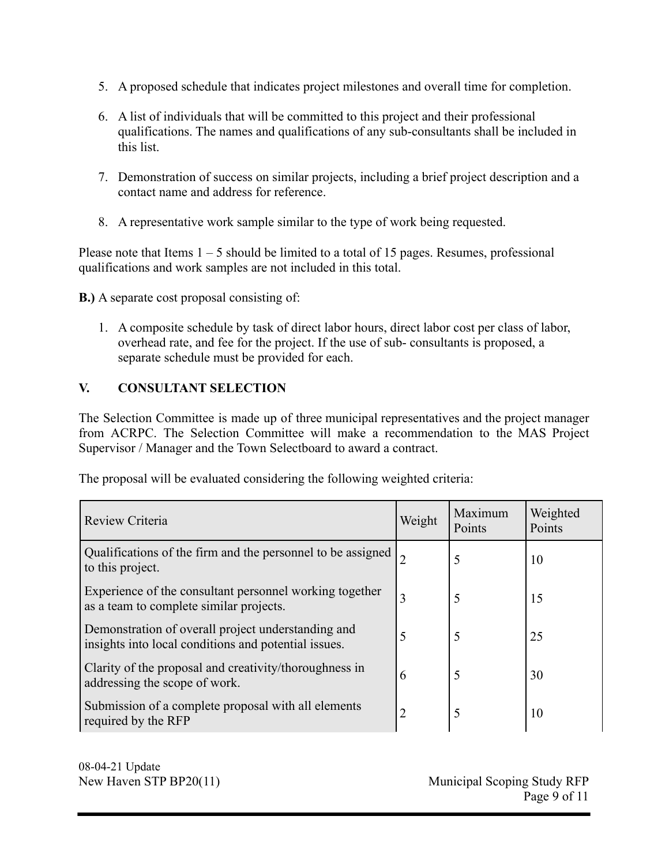- 5. A proposed schedule that indicates project milestones and overall time for completion.
- 6. A list of individuals that will be committed to this project and their professional qualifications. The names and qualifications of any sub-consultants shall be included in this list.
- 7. Demonstration of success on similar projects, including a brief project description and a contact name and address for reference.
- 8. A representative work sample similar to the type of work being requested.

Please note that Items  $1 - 5$  should be limited to a total of 15 pages. Resumes, professional qualifications and work samples are not included in this total.

**B.)** A separate cost proposal consisting of:

1. A composite schedule by task of direct labor hours, direct labor cost per class of labor, overhead rate, and fee for the project. If the use of sub- consultants is proposed, a separate schedule must be provided for each.

## **V. CONSULTANT SELECTION**

The Selection Committee is made up of three municipal representatives and the project manager from ACRPC. The Selection Committee will make a recommendation to the MAS Project Supervisor / Manager and the Town Selectboard to award a contract.

The proposal will be evaluated considering the following weighted criteria:

| Review Criteria                                                                                            | Weight | Maximum<br>Points | Weighted<br>Points |
|------------------------------------------------------------------------------------------------------------|--------|-------------------|--------------------|
| Qualifications of the firm and the personnel to be assigned<br>to this project.                            |        | 5                 | 10                 |
| Experience of the consultant personnel working together<br>as a team to complete similar projects.         | 3      | 5                 | 15                 |
| Demonstration of overall project understanding and<br>insights into local conditions and potential issues. | 5      | 5                 | 25                 |
| Clarity of the proposal and creativity/thoroughness in<br>addressing the scope of work.                    | 6      | 5                 | 30                 |
| Submission of a complete proposal with all elements<br>required by the RFP                                 | 2      | 5                 | 10                 |

08-04-21 Update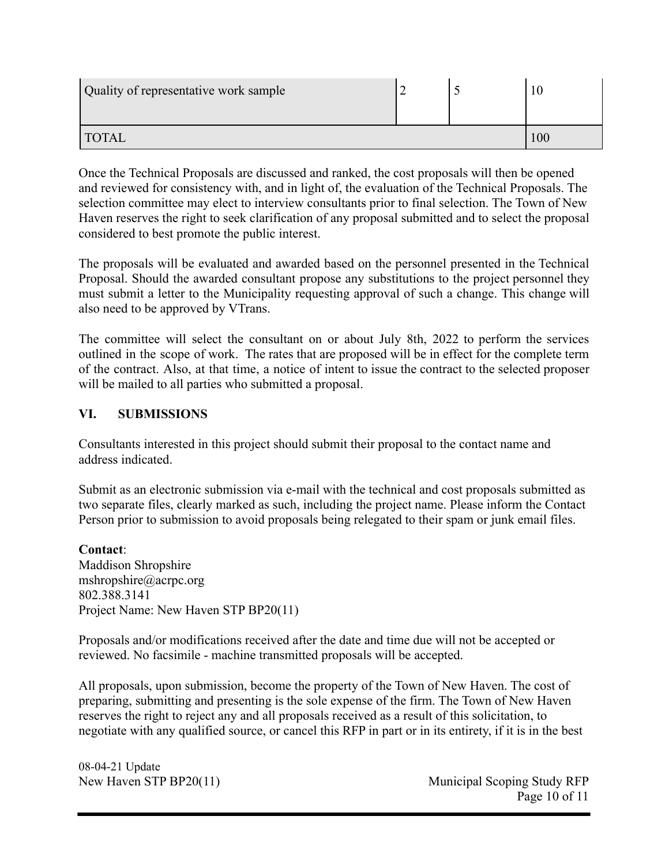| Quality of representative work sample |  |  |  |
|---------------------------------------|--|--|--|
| <b>TOTAL</b>                          |  |  |  |

Once the Technical Proposals are discussed and ranked, the cost proposals will then be opened and reviewed for consistency with, and in light of, the evaluation of the Technical Proposals. The selection committee may elect to interview consultants prior to final selection. The Town of New Haven reserves the right to seek clarification of any proposal submitted and to select the proposal considered to best promote the public interest.

The proposals will be evaluated and awarded based on the personnel presented in the Technical Proposal. Should the awarded consultant propose any substitutions to the project personnel they must submit a letter to the Municipality requesting approval of such a change. This change will also need to be approved by VTrans.

The committee will select the consultant on or about July 8th, 2022 to perform the services outlined in the scope of work. The rates that are proposed will be in effect for the complete term of the contract. Also, at that time, a notice of intent to issue the contract to the selected proposer will be mailed to all parties who submitted a proposal.

## **VI. SUBMISSIONS**

Consultants interested in this project should submit their proposal to the contact name and address indicated.

Submit as an electronic submission via e-mail with the technical and cost proposals submitted as two separate files, clearly marked as such, including the project name. Please inform the Contact Person prior to submission to avoid proposals being relegated to their spam or junk email files.

**Contact**: Maddison Shropshire [mshropshire@acrpc.org](mailto:mshropshire@acrpc.org) 802.388.3141 Project Name: New Haven STP BP20(11)

Proposals and/or modifications received after the date and time due will not be accepted or reviewed. No facsimile - machine transmitted proposals will be accepted.

All proposals, upon submission, become the property of the Town of New Haven. The cost of preparing, submitting and presenting is the sole expense of the firm. The Town of New Haven reserves the right to reject any and all proposals received as a result of this solicitation, to negotiate with any qualified source, or cancel this RFP in part or in its entirety, if it is in the best

08-04-21 Update

New Haven STP BP20(11) Municipal Scoping Study RFP Page 10 of 11